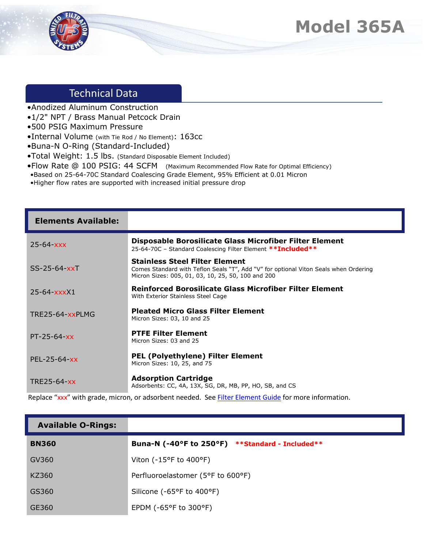

## Technical Data

- •Anodized Aluminum Construction
- •1/2" NPT / Brass Manual Petcock Drain
- •500 PSIG Maximum Pressure
- •Internal Volume (with Tie Rod / No Element): 163cc
- •Buna-N O-Ring (Standard-Included)
- •Total Weight: 1.5 lbs. (Standard Disposable Element Included)
- •Flow Rate @ 100 PSIG: 44 SCFM (Maximum Recommended Flow Rate for Optimal Efficiency)
- •Based on 25-64-70C Standard Coalescing Grade Element, 95% Efficient at 0.01 Micron
- •Higher flow rates are supported with increased initial pressure drop

| <b>Elements Available:</b> |                                                                                                                                                                                                           |
|----------------------------|-----------------------------------------------------------------------------------------------------------------------------------------------------------------------------------------------------------|
| $25 - 64 - XXX$            | Disposable Borosilicate Glass Microfiber Filter Element<br>25-64-70C - Standard Coalescing Filter Element ** Included **                                                                                  |
| $SS-25-64-xxT$             | <b>Stainless Steel Filter Element</b><br>Comes Standard with Teflon Seals "T", Add "V" for optional Viton Seals when Ordering<br>Micron Sizes: 005, 01, 03, 10, 25, 50, 100 and 200                       |
| $25 - 64 - x$              | Reinforced Borosilicate Glass Microfiber Filter Element<br>With Exterior Stainless Steel Cage                                                                                                             |
| TRE25-64-xxPLMG            | <b>Pleated Micro Glass Filter Element</b><br>Micron Sizes: 03, 10 and 25                                                                                                                                  |
| $PT - 25 - 64 - xx$        | <b>PTFE Filter Element</b><br>Micron Sizes: 03 and 25                                                                                                                                                     |
| $PEL-25-64-xx$             | <b>PEL (Polyethylene) Filter Element</b><br>Micron Sizes: 10, 25, and 75                                                                                                                                  |
| TRE25-64-xx                | <b>Adsorption Cartridge</b><br>Adsorbents: CC, 4A, 13X, SG, DR, MB, PP, HO, SB, and CS<br>the contract of the contract of the contract of the contract of the contract of the contract of the contract of |

Replace "xxx" with grade, micron, or adsorbent needed. See **Filter Element Guide** for more information.

| <b>Available O-Rings:</b> |                                                 |
|---------------------------|-------------------------------------------------|
| <b>BN360</b>              | Buna-N (-40°F to 250°F) **Standard - Included** |
| GV360                     | Viton (-15°F to 400°F)                          |
| KZ360                     | Perfluoroelastomer (5°F to 600°F)               |
| GS360                     | Silicone (-65°F to 400°F)                       |
| GE360                     | EPDM (-65°F to 300°F)                           |